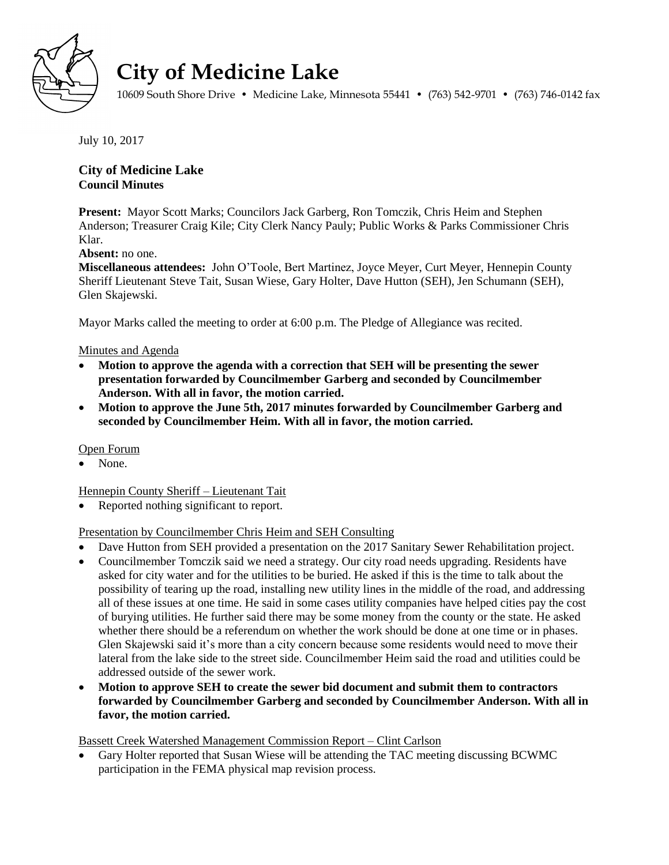

# **City of Medicine Lake**

10609 South Shore Drive • Medicine Lake, Minnesota 55441 • (763) 542-9701 • (763) 746-0142 fax

July 10, 2017

# **City of Medicine Lake Council Minutes**

**Present:** Mayor Scott Marks; Councilors Jack Garberg, Ron Tomczik, Chris Heim and Stephen Anderson; Treasurer Craig Kile; City Clerk Nancy Pauly; Public Works & Parks Commissioner Chris Klar.

**Absent:** no one.

**Miscellaneous attendees:** John O'Toole, Bert Martinez, Joyce Meyer, Curt Meyer, Hennepin County Sheriff Lieutenant Steve Tait, Susan Wiese, Gary Holter, Dave Hutton (SEH), Jen Schumann (SEH), Glen Skajewski.

Mayor Marks called the meeting to order at 6:00 p.m. The Pledge of Allegiance was recited.

#### Minutes and Agenda

- **Motion to approve the agenda with a correction that SEH will be presenting the sewer presentation forwarded by Councilmember Garberg and seconded by Councilmember Anderson. With all in favor, the motion carried.**
- **Motion to approve the June 5th, 2017 minutes forwarded by Councilmember Garberg and seconded by Councilmember Heim. With all in favor, the motion carried.**

Open Forum

None.

Hennepin County Sheriff – Lieutenant Tait

Reported nothing significant to report.

## Presentation by Councilmember Chris Heim and SEH Consulting

- Dave Hutton from SEH provided a presentation on the 2017 Sanitary Sewer Rehabilitation project.
- Councilmember Tomczik said we need a strategy. Our city road needs upgrading. Residents have asked for city water and for the utilities to be buried. He asked if this is the time to talk about the possibility of tearing up the road, installing new utility lines in the middle of the road, and addressing all of these issues at one time. He said in some cases utility companies have helped cities pay the cost of burying utilities. He further said there may be some money from the county or the state. He asked whether there should be a referendum on whether the work should be done at one time or in phases. Glen Skajewski said it's more than a city concern because some residents would need to move their lateral from the lake side to the street side. Councilmember Heim said the road and utilities could be addressed outside of the sewer work.
- **Motion to approve SEH to create the sewer bid document and submit them to contractors forwarded by Councilmember Garberg and seconded by Councilmember Anderson. With all in favor, the motion carried.**

Bassett Creek Watershed Management Commission Report – Clint Carlson

 Gary Holter reported that Susan Wiese will be attending the TAC meeting discussing BCWMC participation in the FEMA physical map revision process.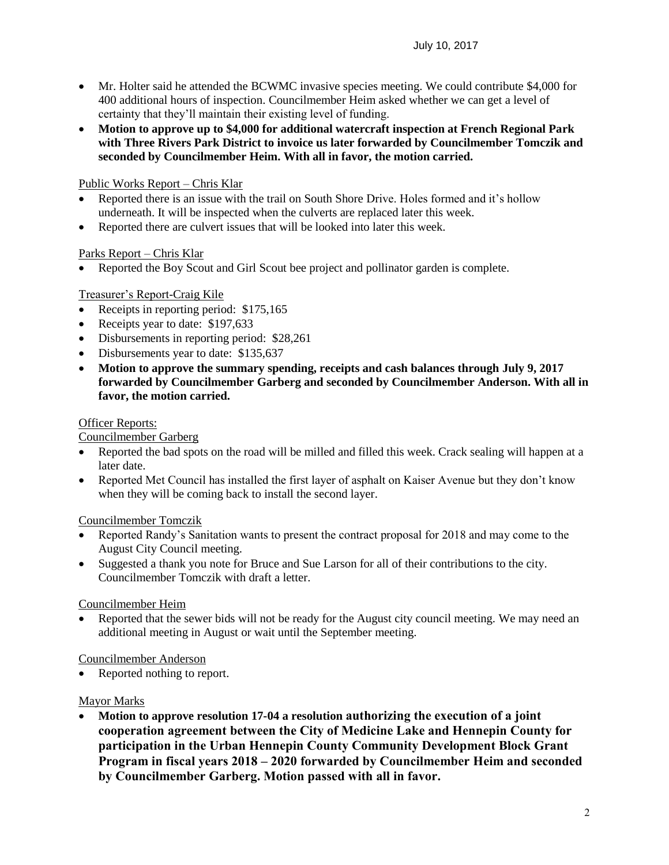- Mr. Holter said he attended the BCWMC invasive species meeting. We could contribute \$4,000 for 400 additional hours of inspection. Councilmember Heim asked whether we can get a level of certainty that they'll maintain their existing level of funding.
- **Motion to approve up to \$4,000 for additional watercraft inspection at French Regional Park with Three Rivers Park District to invoice us later forwarded by Councilmember Tomczik and seconded by Councilmember Heim. With all in favor, the motion carried.**

# Public Works Report – Chris Klar

- Reported there is an issue with the trail on South Shore Drive. Holes formed and it's hollow underneath. It will be inspected when the culverts are replaced later this week.
- Reported there are culvert issues that will be looked into later this week.

## Parks Report – Chris Klar

Reported the Boy Scout and Girl Scout bee project and pollinator garden is complete.

## Treasurer's Report-Craig Kile

- Receipts in reporting period: \$175,165
- Receipts year to date: \$197,633
- Disbursements in reporting period: \$28,261
- Disbursements year to date: \$135,637
- **Motion to approve the summary spending, receipts and cash balances through July 9, 2017 forwarded by Councilmember Garberg and seconded by Councilmember Anderson. With all in favor, the motion carried.**

#### Officer Reports:

#### Councilmember Garberg

- Reported the bad spots on the road will be milled and filled this week. Crack sealing will happen at a later date.
- Reported Met Council has installed the first layer of asphalt on Kaiser Avenue but they don't know when they will be coming back to install the second layer.

## Councilmember Tomczik

- Reported Randy's Sanitation wants to present the contract proposal for 2018 and may come to the August City Council meeting.
- Suggested a thank you note for Bruce and Sue Larson for all of their contributions to the city. Councilmember Tomczik with draft a letter.

#### Councilmember Heim

 Reported that the sewer bids will not be ready for the August city council meeting. We may need an additional meeting in August or wait until the September meeting.

#### Councilmember Anderson

Reported nothing to report.

#### Mayor Marks

 **Motion to approve resolution 17-04 a resolution authorizing the execution of a joint cooperation agreement between the City of Medicine Lake and Hennepin County for participation in the Urban Hennepin County Community Development Block Grant Program in fiscal years 2018 – 2020 forwarded by Councilmember Heim and seconded by Councilmember Garberg. Motion passed with all in favor.**